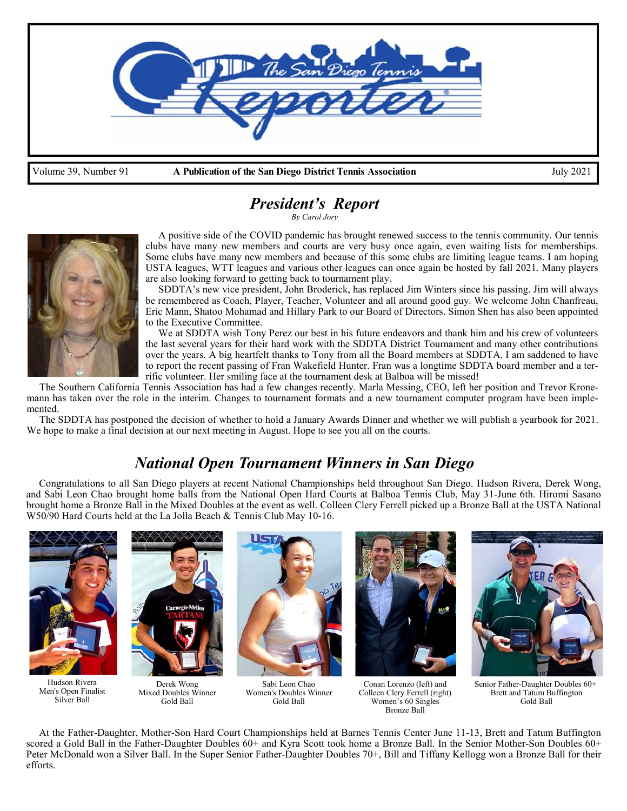

# *President's Report*

*By Carol Jory* 



 A positive side of the COVID pandemic has brought renewed success to the tennis community. Our tennis clubs have many new members and courts are very busy once again, even waiting lists for memberships. Some clubs have many new members and because of this some clubs are limiting league teams. I am hoping USTA leagues, WTT leagues and various other leagues can once again be hosted by fall 2021. Many players are also looking forward to getting back to tournament play.

 SDDTA's new vice president, John Broderick, has replaced Jim Winters since his passing. Jim will always be remembered as Coach, Player, Teacher, Volunteer and all around good guy. We welcome John Chanfreau, Eric Mann, Shatoo Mohamad and Hillary Park to our Board of Directors. Simon Shen has also been appointed to the Executive Committee.

 We at SDDTA wish Tony Perez our best in his future endeavors and thank him and his crew of volunteers the last several years for their hard work with the SDDTA District Tournament and many other contributions over the years. A big heartfelt thanks to Tony from all the Board members at SDDTA. I am saddened to have to report the recent passing of Fran Wakefield Hunter. Fran was a longtime SDDTA board member and a terrific volunteer. Her smiling face at the tournament desk at Balboa will be missed!

 The Southern California Tennis Association has had a few changes recently. Marla Messing, CEO, left her position and Trevor Kronemann has taken over the role in the interim. Changes to tournament formats and a new tournament computer program have been implemented.

 The SDDTA has postponed the decision of whether to hold a January Awards Dinner and whether we will publish a yearbook for 2021. We hope to make a final decision at our next meeting in August. Hope to see you all on the courts.

# *National Open Tournament Winners in San Diego*

 Congratulations to all San Diego players at recent National Championships held throughout San Diego. Hudson Rivera, Derek Wong, and Sabi Leon Chao brought home balls from the National Open Hard Courts at Balboa Tennis Club, May 31-June 6th. Hiromi Sasano brought home a Bronze Ball in the Mixed Doubles at the event as well. Colleen Clery Ferrell picked up a Bronze Ball at the USTA National W50/90 Hard Courts held at the La Jolla Beach & Tennis Club May 10-16.



Brett and Tatum Buffington Gold Ball

 At the Father-Daughter, Mother-Son Hard Court Championships held at Barnes Tennis Center June 11-13, Brett and Tatum Buffington scored a Gold Ball in the Father-Daughter Doubles 60+ and Kyra Scott took home a Bronze Ball. In the Senior Mother-Son Doubles 60+ Peter McDonald won a Silver Ball. In the Super Senior Father-Daughter Doubles 70+, Bill and Tiffany Kellogg won a Bronze Ball for their efforts.

Women's 60 Singles Bronze Ball

Gold Ball

Gold Ball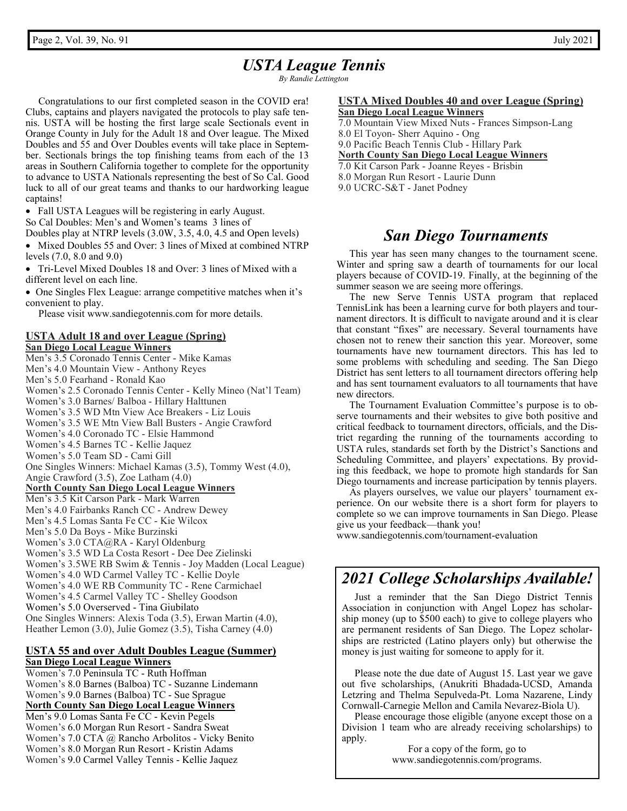# *USTA League Tennis*

*By Randie Lettington* 

 Congratulations to our first completed season in the COVID era! Clubs, captains and players navigated the protocols to play safe tennis. USTA will be hosting the first large scale Sectionals event in Orange County in July for the Adult 18 and Over league. The Mixed Doubles and 55 and Over Doubles events will take place in September. Sectionals brings the top finishing teams from each of the 13 areas in Southern California together to complete for the opportunity to advance to USTA Nationals representing the best of So Cal. Good luck to all of our great teams and thanks to our hardworking league captains!

• Fall USTA Leagues will be registering in early August.

So Cal Doubles: Men's and Women's teams 3 lines of

Doubles play at NTRP levels (3.0W, 3.5, 4.0, 4.5 and Open levels)

• Mixed Doubles 55 and Over: 3 lines of Mixed at combined NTRP levels (7.0, 8.0 and 9.0)

 Tri-Level Mixed Doubles 18 and Over: 3 lines of Mixed with a different level on each line.

 One Singles Flex League: arrange competitive matches when it's convenient to play.

Please visit www.sandiegotennis.com for more details.

# **USTA Adult 18 and over League (Spring)**

**San Diego Local League Winners**  Men's 3.5 Coronado Tennis Center - Mike Kamas Men's 4.0 Mountain View - Anthony Reyes Men's 5.0 Fearhand - Ronald Kao Women's 2.5 Coronado Tennis Center - Kelly Mineo (Nat'l Team) Women's 3.0 Barnes/ Balboa - Hillary Halttunen Women's 3.5 WD Mtn View Ace Breakers - Liz Louis Women's 3.5 WE Mtn View Ball Busters - Angie Crawford Women's 4.0 Coronado TC - Elsie Hammond Women's 4.5 Barnes TC - Kellie Jaquez Women's 5.0 Team SD - Cami Gill One Singles Winners: Michael Kamas (3.5), Tommy West (4.0), Angie Crawford (3.5), Zoe Latham (4.0) **North County San Diego Local League Winners** Men's 3.5 Kit Carson Park - Mark Warren Men's 4.0 Fairbanks Ranch CC - Andrew Dewey Men's 4.5 Lomas Santa Fe CC - Kie Wilcox Men's 5.0 Da Boys - Mike Burzinski Women's 3.0 CTA@RA - Karyl Oldenburg Women's 3.5 WD La Costa Resort - Dee Dee Zielinski Women's 3.5WE RB Swim & Tennis - Joy Madden (Local League) Women's 4.0 WD Carmel Valley TC - Kellie Doyle Women's 4.0 WE RB Community TC - Rene Carmichael Women's 4.5 Carmel Valley TC - Shelley Goodson Women's 5.0 Overserved - Tina Giubilato One Singles Winners: Alexis Toda (3.5), Erwan Martin (4.0), Heather Lemon (3.0), Julie Gomez (3.5), Tisha Carney (4.0)

#### **USTA 55 and over Adult Doubles League (Summer) San Diego Local League Winners**

Women's 7.0 Peninsula TC - Ruth Hoffman Women's 8.0 Barnes (Balboa) TC - Suzanne Lindemann Women's 9.0 Barnes (Balboa) TC - Sue Sprague **North County San Diego Local League Winners**  Men's 9.0 Lomas Santa Fe CC - Kevin Pegels Women's 6.0 Morgan Run Resort - Sandra Sweat Women's 7.0 CTA @ Rancho Arbolitos - Vicky Benito Women's 8.0 Morgan Run Resort - Kristin Adams Women's 9.0 Carmel Valley Tennis - Kellie Jaquez

#### **USTA Mixed Doubles 40 and over League (Spring) San Diego Local League Winners**

7.0 Mountain View Mixed Nuts - Frances Simpson-Lang

8.0 El Toyon- Sherr Aquino - Ong

9.0 Pacific Beach Tennis Club - Hillary Park

**North County San Diego Local League Winners**

7.0 Kit Carson Park - Joanne Reyes - Brisbin

8.0 Morgan Run Resort - Laurie Dunn

9.0 UCRC-S&T - Janet Podney

## *San Diego Tournaments*

 This year has seen many changes to the tournament scene. Winter and spring saw a dearth of tournaments for our local players because of COVID-19. Finally, at the beginning of the summer season we are seeing more offerings.

 The new Serve Tennis USTA program that replaced TennisLink has been a learning curve for both players and tournament directors. It is difficult to navigate around and it is clear that constant "fixes" are necessary. Several tournaments have chosen not to renew their sanction this year. Moreover, some tournaments have new tournament directors. This has led to some problems with scheduling and seeding. The San Diego District has sent letters to all tournament directors offering help and has sent tournament evaluators to all tournaments that have new directors.

 The Tournament Evaluation Committee's purpose is to observe tournaments and their websites to give both positive and critical feedback to tournament directors, officials, and the District regarding the running of the tournaments according to USTA rules, standards set forth by the District's Sanctions and Scheduling Committee, and players' expectations. By providing this feedback, we hope to promote high standards for San Diego tournaments and increase participation by tennis players.

 As players ourselves, we value our players' tournament experience. On our website there is a short form for players to complete so we can improve tournaments in San Diego. Please give us your feedback—thank you!

www.sandiegotennis.com/tournament-evaluation

# *2021 College Scholarships Available!*

 Just a reminder that the San Diego District Tennis Association in conjunction with Angel Lopez has scholarship money (up to \$500 each) to give to college players who are permanent residents of San Diego. The Lopez scholarships are restricted (Latino players only) but otherwise the money is just waiting for someone to apply for it.

 Please note the due date of August 15. Last year we gave out five scholarships, (Anukriti Bhadada-UCSD, Amanda Letzring and Thelma Sepulveda-Pt. Loma Nazarene, Lindy Cornwall-Carnegie Mellon and Camila Nevarez-Biola U).

 Please encourage those eligible (anyone except those on a Division 1 team who are already receiving scholarships) to apply.

> For a copy of the form, go to www.sandiegotennis.com/programs.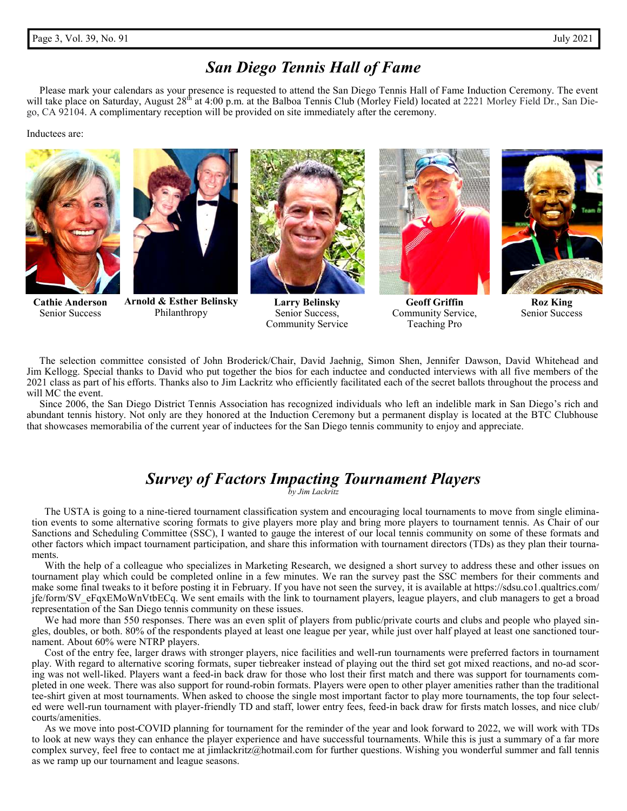### *San Diego Tennis Hall of Fame*

 Please mark your calendars as your presence is requested to attend the San Diego Tennis Hall of Fame Induction Ceremony. The event will take place on Saturday, August 28<sup>th</sup> at 4:00 p.m. at the Balboa Tennis Club (Morley Field) located at 2221 Morley Field Dr., San Diego, CA 92104. A complimentary reception will be provided on site immediately after the ceremony.

#### Inductees are:





**Cathie Anderson**  Senior Success

**Arnold & Esther Belinsky**  Philanthropy



**Larry Belinsky**  Senior Success, Community Service



**Geoff Griffin** Community Service, Teaching Pro



**Roz King** Senior Success

The selection committee consisted of John Broderick/Chair, David Jaehnig, Simon Shen, Jennifer Dawson, David Whitehead and Jim Kellogg. Special thanks to David who put together the bios for each inductee and conducted interviews with all five members of the 2021 class as part of his efforts. Thanks also to Jim Lackritz who efficiently facilitated each of the secret ballots throughout the process and will MC the event.

 Since 2006, the San Diego District Tennis Association has recognized individuals who left an indelible mark in San Diego's rich and abundant tennis history. Not only are they honored at the Induction Ceremony but a permanent display is located at the BTC Clubhouse that showcases memorabilia of the current year of inductees for the San Diego tennis community to enjoy and appreciate.

## *Survey of Factors Impacting Tournament Players*

*by Jim Lackritz* 

 The USTA is going to a nine-tiered tournament classification system and encouraging local tournaments to move from single elimination events to some alternative scoring formats to give players more play and bring more players to tournament tennis. As Chair of our Sanctions and Scheduling Committee (SSC), I wanted to gauge the interest of our local tennis community on some of these formats and other factors which impact tournament participation, and share this information with tournament directors (TDs) as they plan their tournaments.

 With the help of a colleague who specializes in Marketing Research, we designed a short survey to address these and other issues on tournament play which could be completed online in a few minutes. We ran the survey past the SSC members for their comments and make some final tweaks to it before posting it in February. If you have not seen the survey, it is available at https://sdsu.co1.qualtrics.com/ jfe/form/SV\_eFqxEMoWnVtbECq. We sent emails with the link to tournament players, league players, and club managers to get a broad representation of the San Diego tennis community on these issues.

We had more than 550 responses. There was an even split of players from public/private courts and clubs and people who played singles, doubles, or both. 80% of the respondents played at least one league per year, while just over half played at least one sanctioned tournament. About 60% were NTRP players.

 Cost of the entry fee, larger draws with stronger players, nice facilities and well-run tournaments were preferred factors in tournament play. With regard to alternative scoring formats, super tiebreaker instead of playing out the third set got mixed reactions, and no-ad scoring was not well-liked. Players want a feed-in back draw for those who lost their first match and there was support for tournaments completed in one week. There was also support for round-robin formats. Players were open to other player amenities rather than the traditional tee-shirt given at most tournaments. When asked to choose the single most important factor to play more tournaments, the top four selected were well-run tournament with player-friendly TD and staff, lower entry fees, feed-in back draw for firsts match losses, and nice club/ courts/amenities.

 As we move into post-COVID planning for tournament for the reminder of the year and look forward to 2022, we will work with TDs to look at new ways they can enhance the player experience and have successful tournaments. While this is just a summary of a far more complex survey, feel free to contact me at jimlackritz@hotmail.com for further questions. Wishing you wonderful summer and fall tennis as we ramp up our tournament and league seasons.